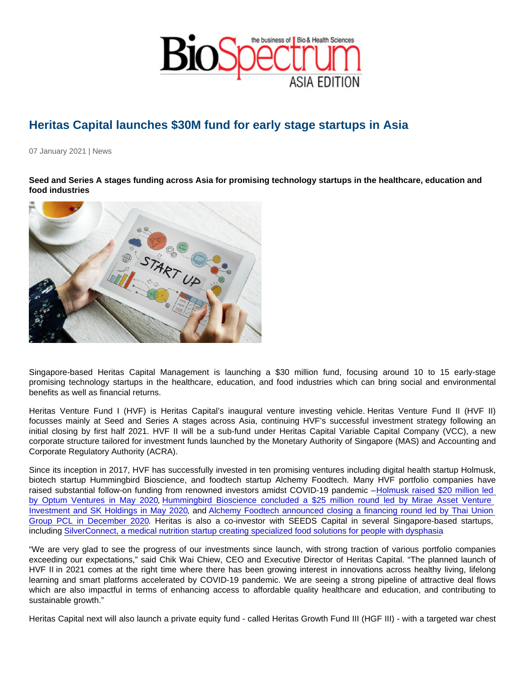## Heritas Capital launches \$30M fund for early stage startups in Asia

07 January 2021 | News

Seed and Series A stages funding across Asia for promising technology startups in the healthcare, education and food industries

Singapore-based Heritas Capital Management is launching a \$30 million fund, focusing around 10 to 15 early-stage promising technology startups in the healthcare, education, and food industries which can bring social and environmental benefits as well as financial returns.

Heritas Venture Fund I (HVF) is Heritas Capital's inaugural venture investing vehicle. Heritas Venture Fund II (HVF II) focusses mainly at Seed and Series A stages across Asia, continuing HVF's successful investment strategy following an initial closing by first half 2021. HVF II will be a sub-fund under Heritas Capital Variable Capital Company (VCC), a new corporate structure tailored for investment funds launched by the Monetary Authority of Singapore (MAS) and Accounting and Corporate Regulatory Authority (ACRA).

Since its inception in 2017, HVF has successfully invested in ten promising ventures including digital health startup Holmusk, biotech startup Hummingbird Bioscience, and foodtech startup Alchemy Foodtech. Many HVF portfolio companies have raised substantial follow-on funding from renowned investors amidst COVID-19 pandemic – [Holmusk raised \\$20 million led](https://www.heritascapital.com/holmusk-series-a)  [by Optum Ventures in May 2020,](https://www.heritascapital.com/holmusk-series-a) [Hummingbird Bioscience concluded a \\$25 million round led by Mirae Asset Venture](https://www.heritascapital.com/hummingbird-series-b-extension)  [Investment and SK Holdings in May 2020](https://www.heritascapital.com/hummingbird-series-b-extension), and [Alchemy Foodtech announced closing a financing round led by Thai Union](https://www.heritascapital.com/alchemy-raises-7-figure-round)  [Group PCL in December 2020.](https://www.heritascapital.com/alchemy-raises-7-figure-round) Heritas is also a co-investor with SEEDS Capital in several Singapore-based startups, including [SilverConnect, a medical nutrition startup creating specialized food solutions for people with dysphasia.](https://www.heritascapital.com/investment-into-silverconnect)

"We are very glad to see the progress of our investments since launch, with strong traction of various portfolio companies exceeding our expectations," said Chik Wai Chiew, CEO and Executive Director of Heritas Capital. "The planned launch of HVF II in 2021 comes at the right time where there has been growing interest in innovations across healthy living, lifelong learning and smart platforms accelerated by COVID-19 pandemic. We are seeing a strong pipeline of attractive deal flows which are also impactful in terms of enhancing access to affordable quality healthcare and education, and contributing to sustainable growth."

Heritas Capital next will also launch a private equity fund - called Heritas Growth Fund III (HGF III) - with a targeted war chest